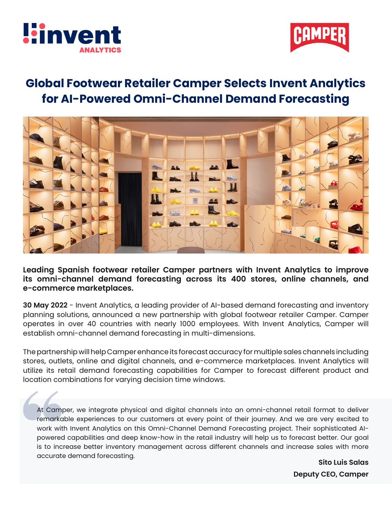



## **Global Footwear Retailer Camper Selects Invent Analytics for AI-Powered Omni-Channel Demand Forecasting**



**Leading Spanish footwear retailer Camper partners with Invent Analytics to improve its omni-channel demand forecasting across its 400 stores, online channels, and e-commerce marketplaces.**

**30 May 2022** - Invent Analytics, a leading provider of AI-based demand forecasting and inventory planning solutions, announced a new partnership with global footwear retailer Camper. Camper operates in over 40 countries with nearly 1000 employees. With Invent Analytics, Camper will establish omni-channel demand forecasting in multi-dimensions.

The partnership will help Camper enhance its forecast accuracy for multiple sales channels including stores, outlets, online and digital channels, and e-commerce marketplaces. Invent Analytics will utilize its retail demand forecasting capabilities for Camper to forecast different product and location combinations for varying decision time windows.

At Camper, we integrate physical and digital channels into an omni-channel retail format to deliver remarkable experiences to our customers at every point of their journey. And we are very excited to work with Invent Analytics on this Omni-Channel Demand Forecasting project. Their sophisticated AIpowered capabilities and deep know-how in the retail industry will help us to forecast better. Our goal is to increase better inventory management across different channels and increase sales with more accurate demand forecasting.

**Sito Luis Salas Deputy CEO, Camper**